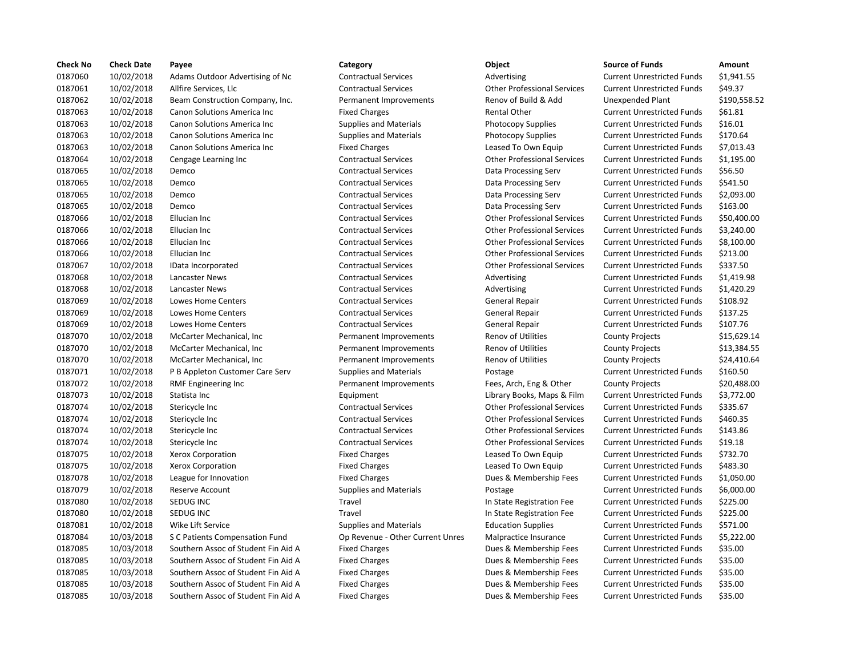| <b>Check No</b> | <b>Check Date</b> | Payee                               | Category                         | Object                             | <b>Source of Funds</b>            | Amount    |
|-----------------|-------------------|-------------------------------------|----------------------------------|------------------------------------|-----------------------------------|-----------|
| 0187060         | 10/02/2018        | Adams Outdoor Advertising of Nc     | <b>Contractual Services</b>      | Advertising                        | <b>Current Unrestricted Funds</b> | \$1,941.5 |
| 0187061         | 10/02/2018        | Allfire Services, Llc               | <b>Contractual Services</b>      | <b>Other Professional Services</b> | <b>Current Unrestricted Funds</b> | \$49.37   |
| 0187062         | 10/02/2018        | Beam Construction Company, Inc.     | Permanent Improvements           | Renov of Build & Add               | Unexpended Plant                  | \$190,55  |
| 0187063         | 10/02/2018        | Canon Solutions America Inc         | <b>Fixed Charges</b>             | <b>Rental Other</b>                | <b>Current Unrestricted Funds</b> | \$61.81   |
| 0187063         | 10/02/2018        | Canon Solutions America Inc         | <b>Supplies and Materials</b>    | <b>Photocopy Supplies</b>          | <b>Current Unrestricted Funds</b> | \$16.01   |
| 0187063         | 10/02/2018        | Canon Solutions America Inc         | <b>Supplies and Materials</b>    | <b>Photocopy Supplies</b>          | <b>Current Unrestricted Funds</b> | \$170.64  |
| 0187063         | 10/02/2018        | Canon Solutions America Inc         | <b>Fixed Charges</b>             | Leased To Own Equip                | <b>Current Unrestricted Funds</b> | \$7,013.4 |
| 0187064         | 10/02/2018        | Cengage Learning Inc                | <b>Contractual Services</b>      | <b>Other Professional Services</b> | <b>Current Unrestricted Funds</b> | \$1,195.0 |
| 0187065         | 10/02/2018        | Demco                               | <b>Contractual Services</b>      | Data Processing Serv               | <b>Current Unrestricted Funds</b> | \$56.50   |
| 0187065         | 10/02/2018        | Demco                               | <b>Contractual Services</b>      | Data Processing Serv               | <b>Current Unrestricted Funds</b> | \$541.50  |
| 0187065         | 10/02/2018        | Demco                               | <b>Contractual Services</b>      | Data Processing Serv               | <b>Current Unrestricted Funds</b> | \$2,093.0 |
| 0187065         | 10/02/2018        | Demco                               | <b>Contractual Services</b>      | Data Processing Serv               | <b>Current Unrestricted Funds</b> | \$163.00  |
| 0187066         | 10/02/2018        | Ellucian Inc                        | <b>Contractual Services</b>      | <b>Other Professional Services</b> | <b>Current Unrestricted Funds</b> | \$50,400  |
| 0187066         | 10/02/2018        | Ellucian Inc                        | <b>Contractual Services</b>      | <b>Other Professional Services</b> | <b>Current Unrestricted Funds</b> | \$3,240.0 |
| 0187066         | 10/02/2018        | Ellucian Inc                        | <b>Contractual Services</b>      | <b>Other Professional Services</b> | <b>Current Unrestricted Funds</b> | \$8,100.0 |
| 0187066         | 10/02/2018        | Ellucian Inc                        | <b>Contractual Services</b>      | <b>Other Professional Services</b> | <b>Current Unrestricted Funds</b> | \$213.00  |
| 0187067         | 10/02/2018        | IData Incorporated                  | <b>Contractual Services</b>      | <b>Other Professional Services</b> | <b>Current Unrestricted Funds</b> | \$337.50  |
| 0187068         | 10/02/2018        | Lancaster News                      | <b>Contractual Services</b>      | Advertising                        | <b>Current Unrestricted Funds</b> | \$1,419.9 |
| 0187068         | 10/02/2018        | Lancaster News                      | <b>Contractual Services</b>      | Advertising                        | <b>Current Unrestricted Funds</b> | \$1,420.2 |
| 0187069         | 10/02/2018        | Lowes Home Centers                  | <b>Contractual Services</b>      | General Repair                     | <b>Current Unrestricted Funds</b> | \$108.92  |
| 0187069         | 10/02/2018        | Lowes Home Centers                  | <b>Contractual Services</b>      | <b>General Repair</b>              | <b>Current Unrestricted Funds</b> | \$137.25  |
| 0187069         | 10/02/2018        | <b>Lowes Home Centers</b>           | <b>Contractual Services</b>      | <b>General Repair</b>              | <b>Current Unrestricted Funds</b> | \$107.76  |
| 0187070         | 10/02/2018        | McCarter Mechanical, Inc.           | Permanent Improvements           | <b>Renov of Utilities</b>          | <b>County Projects</b>            | \$15,629  |
| 0187070         | 10/02/2018        | McCarter Mechanical, Inc.           | Permanent Improvements           | <b>Renov of Utilities</b>          | <b>County Projects</b>            | \$13,384  |
| 0187070         | 10/02/2018        | McCarter Mechanical, Inc.           | Permanent Improvements           | <b>Renov of Utilities</b>          | <b>County Projects</b>            | \$24,410  |
| 0187071         | 10/02/2018        | P B Appleton Customer Care Serv     | <b>Supplies and Materials</b>    | Postage                            | <b>Current Unrestricted Funds</b> | \$160.50  |
| 0187072         | 10/02/2018        | <b>RMF Engineering Inc</b>          | Permanent Improvements           | Fees, Arch, Eng & Other            | <b>County Projects</b>            | \$20,488  |
| 0187073         | 10/02/2018        | Statista Inc                        | Equipment                        | Library Books, Maps & Film         | <b>Current Unrestricted Funds</b> | \$3,772.0 |
| 0187074         | 10/02/2018        | Stericycle Inc                      | <b>Contractual Services</b>      | <b>Other Professional Services</b> | <b>Current Unrestricted Funds</b> | \$335.67  |
| 0187074         | 10/02/2018        | Stericycle Inc                      | <b>Contractual Services</b>      | <b>Other Professional Services</b> | <b>Current Unrestricted Funds</b> | \$460.35  |
| 0187074         | 10/02/2018        | Stericycle Inc                      | <b>Contractual Services</b>      | <b>Other Professional Services</b> | <b>Current Unrestricted Funds</b> | \$143.86  |
| 0187074         | 10/02/2018        | Stericycle Inc                      | <b>Contractual Services</b>      | <b>Other Professional Services</b> | <b>Current Unrestricted Funds</b> | \$19.18   |
| 0187075         | 10/02/2018        | <b>Xerox Corporation</b>            | <b>Fixed Charges</b>             | Leased To Own Equip                | <b>Current Unrestricted Funds</b> | \$732.70  |
| 0187075         | 10/02/2018        | <b>Xerox Corporation</b>            | <b>Fixed Charges</b>             | Leased To Own Equip                | <b>Current Unrestricted Funds</b> | \$483.30  |
| 0187078         | 10/02/2018        | League for Innovation               | <b>Fixed Charges</b>             | Dues & Membership Fees             | <b>Current Unrestricted Funds</b> | \$1,050.0 |
| 0187079         | 10/02/2018        | <b>Reserve Account</b>              | <b>Supplies and Materials</b>    | Postage                            | <b>Current Unrestricted Funds</b> | \$6,000.0 |
| 0187080         | 10/02/2018        | SEDUG INC                           | Travel                           | In State Registration Fee          | <b>Current Unrestricted Funds</b> | \$225.00  |
| 0187080         | 10/02/2018        | SEDUG INC                           | Travel                           | In State Registration Fee          | <b>Current Unrestricted Funds</b> | \$225.00  |
| 0187081         | 10/02/2018        | Wike Lift Service                   | <b>Supplies and Materials</b>    | <b>Education Supplies</b>          | <b>Current Unrestricted Funds</b> | \$571.00  |
| 0187084         | 10/03/2018        | S C Patients Compensation Fund      | Op Revenue - Other Current Unres | Malpractice Insurance              | <b>Current Unrestricted Funds</b> | \$5,222.0 |
| 0187085         | 10/03/2018        | Southern Assoc of Student Fin Aid A | <b>Fixed Charges</b>             | Dues & Membership Fees             | <b>Current Unrestricted Funds</b> | \$35.00   |
| 0187085         | 10/03/2018        | Southern Assoc of Student Fin Aid A | <b>Fixed Charges</b>             | Dues & Membership Fees             | <b>Current Unrestricted Funds</b> | \$35.00   |
| 0187085         | 10/03/2018        | Southern Assoc of Student Fin Aid A | <b>Fixed Charges</b>             | Dues & Membership Fees             | <b>Current Unrestricted Funds</b> | \$35.00   |
| 0187085         | 10/03/2018        | Southern Assoc of Student Fin Aid A | <b>Fixed Charges</b>             | Dues & Membership Fees             | <b>Current Unrestricted Funds</b> | \$35.00   |
| 0187085         | 10/03/2018        | Southern Assoc of Student Fin Aid A | <b>Fixed Charges</b>             | Dues & Membership Fees             | <b>Current Unrestricted Funds</b> | \$35.00   |

# Ontractual Services **Contractual Services Current Unrestricted Funds** \$1,941.55 0187061 10/02/2018 Allfire Services, Llc Contractual Services Other Professional Services Current Unrestricted Funds \$49.37 Permanent Improvements **Renov of Build & Add** Unexpended Plant \$190,558.52 Fixed Charges The Solutions America Inc. Current Unrestricted Funds \$61.81 Supplies and Materials **Current Inc.** Current Unrestricted Funds 516.01 Supplies and Materials **Example 2018** Photocopy Supplies Current Unrestricted Funds \$170.64 Fixed Charges **1018 Increased To Own Equip** Current Unrestricted Funds \$7,013.43 0187064 10/02/2018 Cengage Learning Inc Contractual Services Other Professional Services Current Unrestricted Funds \$1,195.00 Contractual Services **100206 102018 Data Processing Serv** Current Unrestricted Funds \$56.50 Contractual Services **100206 102018 Data Processing Serv** Current Unrestricted Funds \$541.50 0187065 10/02/2018 Demco Contractual Services Data Processing Serv Current Unrestricted Funds \$2,093.00 0187065 10/02/2018 Demco Contractual Services Data Processing Serv Current Unrestricted Funds \$163.00 0187066 10/02/2018 Ellucian Inc Contractual Services Other Professional Services Current Unrestricted Funds \$50,400.00 0187066 10/02/2018 Ellucian Inc Contractual Services Other Professional Services Current Unrestricted Funds \$3,240.00 0187066 10/02/2018 Ellucian Inc Contractual Services Other Professional Services Current Unrestricted Funds \$8,100.00 0187066 10/02/2018 Ellucian Inc Contractual Services Other Professional Services Current Unrestricted Funds \$213.00 0187067 10/02/2018 IData Incorporated Contractual Services Other Professional Services Current Unrestricted Funds \$337.50 0187068 10/02/2018 Lancaster News Contractual Services Advertising Current Unrestricted Funds \$1,419.98 0187068 10/02/2018 Lancaster News Contractual Services Advertising Current Unrestricted Funds \$1,420.29 0187069 10/02/2018 Lowes Home Centers Contractual Services General Repair Current Unrestricted Funds \$108.92 0187069 10/02/2018 Lowes Home Centers Contractual Services General Repair Current Unrestricted Funds \$137.25 Contractual Services **107.76** General Repair **Current Unrestricted Funds** \$107.76 Permanent Improvements Renov of Utilities County Projects \$15,629.14 Permanent Improvements Renov of Utilities County Projects \$13,384.55 Permanent Improvements Renov of Utilities County Projects \$24,410.64 Supplies and Materials **Postage Current Unrestricted Funds** \$160.50 Permanent Improvements Fees, Arch, Eng & Other County Projects \$20,488.00 Equipment **102018 1002018 Example Inc.** Library Books, Maps & Film Current Unrestricted Funds \$3,772.00 0187074 10/02/2018 Stericycle Inc Contractual Services Other Professional Services Current Unrestricted Funds \$335.67 0187074 10/02/2018 Stericycle Inc Contractual Services Other Professional Services Current Unrestricted Funds \$460.35 0187074 10/02/2018 Stericycle Inc Contractual Services Other Professional Services Current Unrestricted Funds \$143.86 0187074 10/02/2018 Stericycle Inc Contractual Services Other Professional Services Current Unrestricted Funds \$19.18 Fixed Charges Transmitted Charges Leased To Own Equip Current Unrestricted Funds \$732.70 Fixed Charges The State Charges Leased To Own Equip Current Unrestricted Funds \$483.30 Fixed Charges **1.050.00** Dues & Membership Fees Current Unrestricted Funds \$1,050.00 0187079 10/02/2018 Reserve Account Supplies and Materials Postage Current Unrestricted Funds \$6,000.00 Travel **1018** 101870 1018 In State Registration Fee Current Unrestricted Funds \$225.00 Travel **1018** 101870 1018 In State Registration Fee Current Unrestricted Funds \$225.00 0187081 10/02/2018 Wike Lift Service Supplies and Materials Education Supplies Current Unrestricted Funds \$571.00 Op Revenue - Other Current Unres Malpractice Insurance Current Unrestricted Funds \$5,222.00 Fixed Charges The Student Charges of Student Bues & Membership Fees Current Unrestricted Funds \$35.00 Fixed Charges The Student Charges of Current Unrestricted Funds \$35.00 Fixed Charges The Student Charges of Student Bues & Membership Fees Current Unrestricted Funds \$35.00 Fixed Charges The Student Charges of Current Unrestricted Funds 535.00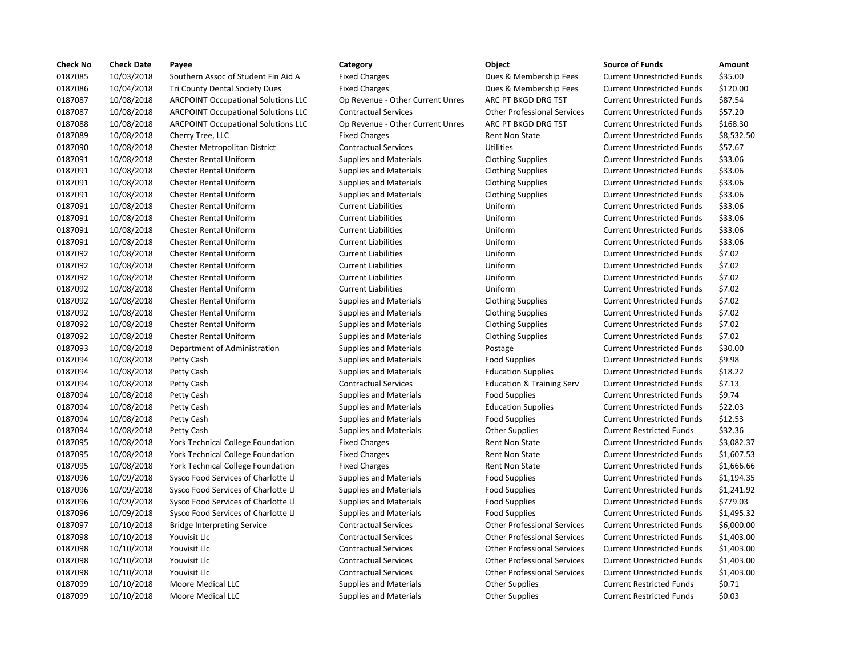| <b>Check No</b> | <b>Check Date</b> | Payee                                      | Category                         | Object                               | <b>Source of Funds</b>            | Amount    |
|-----------------|-------------------|--------------------------------------------|----------------------------------|--------------------------------------|-----------------------------------|-----------|
| 0187085         | 10/03/2018        | Southern Assoc of Student Fin Aid A        | <b>Fixed Charges</b>             | Dues & Membership Fees               | <b>Current Unrestricted Funds</b> | \$35.00   |
| 0187086         | 10/04/2018        | Tri County Dental Society Dues             | <b>Fixed Charges</b>             | Dues & Membership Fees               | <b>Current Unrestricted Funds</b> | \$120.00  |
| 0187087         | 10/08/2018        | <b>ARCPOINT Occupational Solutions LLC</b> | Op Revenue - Other Current Unres | ARC PT BKGD DRG TST                  | <b>Current Unrestricted Funds</b> | \$87.54   |
| 0187087         | 10/08/2018        | <b>ARCPOINT Occupational Solutions LLC</b> | <b>Contractual Services</b>      | <b>Other Professional Services</b>   | <b>Current Unrestricted Funds</b> | \$57.20   |
| 0187088         | 10/08/2018        | <b>ARCPOINT Occupational Solutions LLC</b> | Op Revenue - Other Current Unres | ARC PT BKGD DRG TST                  | <b>Current Unrestricted Funds</b> | \$168.30  |
| 0187089         | 10/08/2018        | Cherry Tree, LLC                           | <b>Fixed Charges</b>             | <b>Rent Non State</b>                | <b>Current Unrestricted Funds</b> | \$8,532.5 |
| 0187090         | 10/08/2018        | Chester Metropolitan District              | <b>Contractual Services</b>      | <b>Utilities</b>                     | <b>Current Unrestricted Funds</b> | \$57.67   |
| 0187091         | 10/08/2018        | Chester Rental Uniform                     | <b>Supplies and Materials</b>    | <b>Clothing Supplies</b>             | <b>Current Unrestricted Funds</b> | \$33.06   |
| 0187091         | 10/08/2018        | <b>Chester Rental Uniform</b>              | <b>Supplies and Materials</b>    | <b>Clothing Supplies</b>             | <b>Current Unrestricted Funds</b> | \$33.06   |
| 0187091         | 10/08/2018        | Chester Rental Uniform                     | <b>Supplies and Materials</b>    | <b>Clothing Supplies</b>             | <b>Current Unrestricted Funds</b> | \$33.06   |
| 0187091         | 10/08/2018        | <b>Chester Rental Uniform</b>              | <b>Supplies and Materials</b>    | <b>Clothing Supplies</b>             | <b>Current Unrestricted Funds</b> | \$33.06   |
| 0187091         | 10/08/2018        | <b>Chester Rental Uniform</b>              | <b>Current Liabilities</b>       | Uniform                              | <b>Current Unrestricted Funds</b> | \$33.06   |
| 0187091         | 10/08/2018        | <b>Chester Rental Uniform</b>              | <b>Current Liabilities</b>       | Uniform                              | <b>Current Unrestricted Funds</b> | \$33.06   |
| 0187091         | 10/08/2018        | <b>Chester Rental Uniform</b>              | <b>Current Liabilities</b>       | Uniform                              | <b>Current Unrestricted Funds</b> | \$33.06   |
| 0187091         | 10/08/2018        | <b>Chester Rental Uniform</b>              | <b>Current Liabilities</b>       | Uniform                              | <b>Current Unrestricted Funds</b> | \$33.06   |
| 0187092         | 10/08/2018        | <b>Chester Rental Uniform</b>              | <b>Current Liabilities</b>       | Uniform                              | <b>Current Unrestricted Funds</b> | \$7.02    |
| 0187092         | 10/08/2018        | <b>Chester Rental Uniform</b>              | <b>Current Liabilities</b>       | Uniform                              | <b>Current Unrestricted Funds</b> | \$7.02    |
| 0187092         | 10/08/2018        | <b>Chester Rental Uniform</b>              | <b>Current Liabilities</b>       | Uniform                              | <b>Current Unrestricted Funds</b> | \$7.02    |
| 0187092         | 10/08/2018        | <b>Chester Rental Uniform</b>              | <b>Current Liabilities</b>       | Uniform                              | <b>Current Unrestricted Funds</b> | \$7.02    |
| 0187092         | 10/08/2018        | <b>Chester Rental Uniform</b>              | <b>Supplies and Materials</b>    | <b>Clothing Supplies</b>             | <b>Current Unrestricted Funds</b> | \$7.02    |
| 0187092         | 10/08/2018        | <b>Chester Rental Uniform</b>              | <b>Supplies and Materials</b>    | <b>Clothing Supplies</b>             | <b>Current Unrestricted Funds</b> | \$7.02    |
| 0187092         | 10/08/2018        | <b>Chester Rental Uniform</b>              | <b>Supplies and Materials</b>    | <b>Clothing Supplies</b>             | <b>Current Unrestricted Funds</b> | \$7.02    |
| 0187092         | 10/08/2018        | <b>Chester Rental Uniform</b>              | <b>Supplies and Materials</b>    | <b>Clothing Supplies</b>             | <b>Current Unrestricted Funds</b> | \$7.02    |
| 0187093         | 10/08/2018        | Department of Administration               | <b>Supplies and Materials</b>    | Postage                              | <b>Current Unrestricted Funds</b> | \$30.00   |
| 0187094         | 10/08/2018        | Petty Cash                                 | <b>Supplies and Materials</b>    | <b>Food Supplies</b>                 | <b>Current Unrestricted Funds</b> | \$9.98    |
| 0187094         | 10/08/2018        | Petty Cash                                 | <b>Supplies and Materials</b>    | <b>Education Supplies</b>            | <b>Current Unrestricted Funds</b> | \$18.22   |
| 0187094         | 10/08/2018        | Petty Cash                                 | <b>Contractual Services</b>      | <b>Education &amp; Training Serv</b> | <b>Current Unrestricted Funds</b> | \$7.13    |
| 0187094         | 10/08/2018        | Petty Cash                                 | <b>Supplies and Materials</b>    | <b>Food Supplies</b>                 | <b>Current Unrestricted Funds</b> | \$9.74    |
| 0187094         | 10/08/2018        | Petty Cash                                 | <b>Supplies and Materials</b>    | <b>Education Supplies</b>            | <b>Current Unrestricted Funds</b> | \$22.03   |
| 0187094         | 10/08/2018        | Petty Cash                                 | <b>Supplies and Materials</b>    | <b>Food Supplies</b>                 | <b>Current Unrestricted Funds</b> | \$12.53   |
| 0187094         | 10/08/2018        | Petty Cash                                 | <b>Supplies and Materials</b>    | <b>Other Supplies</b>                | <b>Current Restricted Funds</b>   | \$32.36   |
| 0187095         | 10/08/2018        | <b>York Technical College Foundation</b>   | <b>Fixed Charges</b>             | <b>Rent Non State</b>                | <b>Current Unrestricted Funds</b> | \$3,082.3 |
| 0187095         | 10/08/2018        | York Technical College Foundation          | <b>Fixed Charges</b>             | Rent Non State                       | <b>Current Unrestricted Funds</b> | \$1,607.5 |
| 0187095         | 10/08/2018        | York Technical College Foundation          | <b>Fixed Charges</b>             | <b>Rent Non State</b>                | <b>Current Unrestricted Funds</b> | \$1,666.6 |
| 0187096         | 10/09/2018        | Sysco Food Services of Charlotte Ll        | <b>Supplies and Materials</b>    | <b>Food Supplies</b>                 | <b>Current Unrestricted Funds</b> | \$1,194.3 |
| 0187096         | 10/09/2018        | Sysco Food Services of Charlotte Ll        | <b>Supplies and Materials</b>    | <b>Food Supplies</b>                 | <b>Current Unrestricted Funds</b> | \$1,241.9 |
| 0187096         | 10/09/2018        | Sysco Food Services of Charlotte Ll        | <b>Supplies and Materials</b>    | <b>Food Supplies</b>                 | <b>Current Unrestricted Funds</b> | \$779.03  |
| 0187096         | 10/09/2018        | Sysco Food Services of Charlotte LI        | <b>Supplies and Materials</b>    | <b>Food Supplies</b>                 | <b>Current Unrestricted Funds</b> | \$1,495.3 |
| 0187097         | 10/10/2018        | <b>Bridge Interpreting Service</b>         | <b>Contractual Services</b>      | <b>Other Professional Services</b>   | <b>Current Unrestricted Funds</b> | \$6,000.0 |
| 0187098         | 10/10/2018        | Youvisit Llc                               | <b>Contractual Services</b>      | <b>Other Professional Services</b>   | <b>Current Unrestricted Funds</b> | \$1,403.0 |
| 0187098         | 10/10/2018        | Youvisit Llc                               | <b>Contractual Services</b>      | <b>Other Professional Services</b>   | <b>Current Unrestricted Funds</b> | \$1,403.0 |
| 0187098         | 10/10/2018        | Youvisit Llc                               | <b>Contractual Services</b>      | <b>Other Professional Services</b>   | <b>Current Unrestricted Funds</b> | \$1,403.0 |
| 0187098         | 10/10/2018        | Youvisit Llc                               | <b>Contractual Services</b>      | <b>Other Professional Services</b>   | <b>Current Unrestricted Funds</b> | \$1,403.0 |
| 0187099         | 10/10/2018        | Moore Medical LLC                          | <b>Supplies and Materials</b>    | <b>Other Supplies</b>                | <b>Current Restricted Funds</b>   | \$0.71    |
| 0187099         | 10/10/2018        | Moore Medical LLC                          | <b>Supplies and Materials</b>    | <b>Other Supplies</b>                | <b>Current Restricted Funds</b>   | \$0.03    |
|                 |                   |                                            |                                  |                                      |                                   |           |

# Supplies and Materials **1018 1000 1000 10000 10000 10000 10000 10000** 10000 10000 10000 10000 10000 10000 10000 1

# Fixed Charges The Student Superson Current Unrestricted Funds 535.00 Fixed Charges Trim Charges Tries Current Unrestricted Funds 5120.00 Op Revenue - Other Current Unres ARC PT BKGD DRG TST Current Unrestricted Funds \$87.54 10/08/2018 ARCPOINT Occupational Solutions LLC Contractual Services Other Professional Services Current Unrestricted Funds \$57.20 Op Revenue - Other Current Unres ARC PT BKGD DRG TST Current Unrestricted Funds \$168.30 Fixed Charges Tree, Louis Current Unrestricted Funds 58,532.50 Ontractual Services **Contractual Services** Utilities Current Unrestricted Funds \$57.67 10/08/2018 Chester Rental Uniform Supplies and Materials Clothing Supplies Current Unrestricted Funds \$33.06 10/08/2018 Chester Rental Uniform Supplies and Materials Clothing Supplies Current Unrestricted Funds \$33.06 10/08/2018 Chester Rental Uniform Supplies and Materials Clothing Supplies Current Unrestricted Funds \$33.06 10/08/2018 Chester Rental Uniform Supplies and Materials Clothing Supplies Current Unrestricted Funds \$33.06 10/08/2018 Chester Rental Uniform Current Liabilities Uniform Current Unrestricted Funds \$33.06 10/08/2018 Chester Rental Uniform Current Liabilities Uniform Current Unrestricted Funds \$33.06 10/08/2018 Chester Rental Uniform Current Liabilities Uniform Current Unrestricted Funds \$33.06 10/08/2018 Chester Rental Uniform Current Liabilities Uniform Current Unrestricted Funds \$33.06 10/08/2018 Chester Rental Uniform Current Liabilities Uniform Current Unrestricted Funds \$7.02 10/08/2018 Chester Rental Uniform Current Liabilities Uniform Current Unrestricted Funds \$7.02 10/08/2018 Chester Rental Uniform Current Liabilities Uniform Current Unrestricted Funds \$7.02 10/08/2018 Chester Rental Uniform Current Liabilities Uniform Current Unrestricted Funds \$7.02 10/08/2018 Chester Rental Uniform Supplies and Materials Clothing Supplies Current Unrestricted Funds \$7.02 10/08/2018 Chester Rental Uniform Supplies and Materials Clothing Supplies Current Unrestricted Funds \$7.02 10/08/2018 Chester Rental Uniform Supplies and Materials Clothing Supplies Current Unrestricted Funds \$7.02 10/08/2018 Chester Rental Uniform Supplies and Materials Clothing Supplies Current Unrestricted Funds \$7.02 10/08/2018 Department of Administration Supplies and Materials Postage Current Unrestricted Funds \$30.00 10/08/2018 Petty Cash Supplies and Materials Food Supplies Current Unrestricted Funds \$9.98 10/08/2018 Petty Cash Supplies and Materials Education Supplies Current Unrestricted Funds \$18.22 10/08/2018 Petty Cash Contractual Services Education & Training Serv Current Unrestricted Funds \$7.13 Supplies and Materials **1018 1018 1008** Food Supplies **Current Unrestricted Funds** 59.74 10/08/2018 Petty Cash Supplies and Materials Education Supplies Current Unrestricted Funds \$22.03 10/08/2018 Petty Cash Supplies and Materials Food Supplies Current Unrestricted Funds \$12.53 10/08/2018 Petty Cash Supplies and Materials Other Supplies Current Restricted Funds \$32.36 Fixed Charges Technical College Rent Non State Current Unrestricted Funds \$3,082.37 Fixed Charges Technical College Rent Non State Current Unrestricted Funds \$1,607.53 Fixed Charges Technical College Rent Non State Current Unrestricted Funds \$1,666.66 10/09/2018 Sysco Food Services of Charlotte Ll Supplies and Materials Food Supplies Current Unrestricted Funds \$1,194.35 10/09/2018 Sysco Food Services of Charlotte Ll Supplies and Materials Food Supplies Current Unrestricted Funds \$1,241.92 Supplies and Materials **Supplies of Charlotte Lines** Current Unrestricted Funds \$779.03 10/09/2018 Sysco Food Services of Charlotte Ll Supplies and Materials Food Supplies Current Unrestricted Funds \$1,495.32 10/10/2018 Bridge Interpreting Service Contractual Services Other Professional Services Current Unrestricted Funds \$6,000.00 10/10/2018 Youvisit Llc Contractual Services Other Professional Services Current Unrestricted Funds \$1,403.00 10/10/2018 Youvisit Llc Contractual Services Other Professional Services Current Unrestricted Funds \$1,403.00 10/10/2018 Youvisit Llc Contractual Services Other Professional Services Current Unrestricted Funds \$1,403.00 10/10/2018 Youvisit Llc Contractual Services Other Professional Services Current Unrestricted Funds \$1,403.00 Supplies and Materials **1018 Complies** Current Restricted Funds 50.71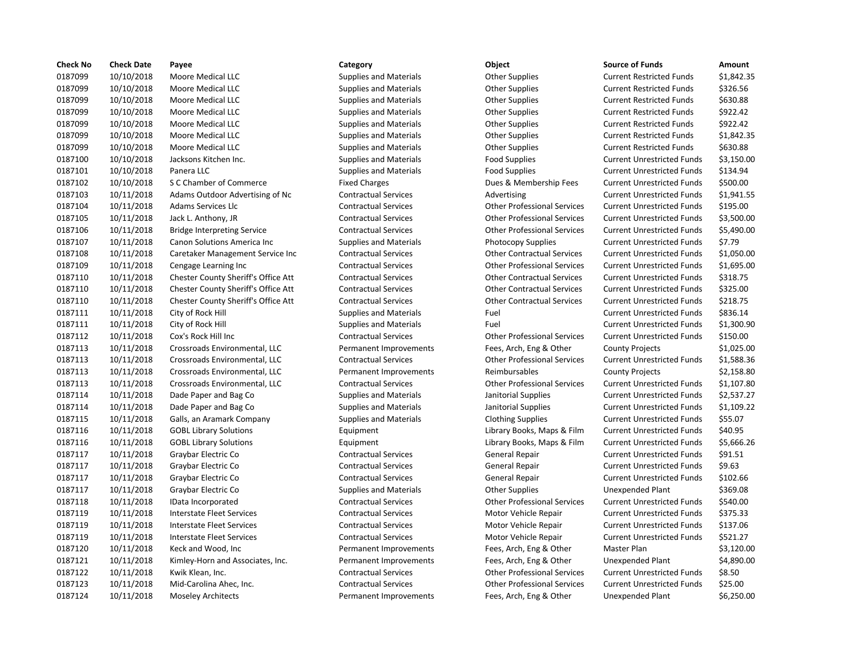| <b>Check No</b> | <b>Check Date</b> | Payee                               | Category                      | Object                             | <b>Source of Funds</b>            | Amount     |
|-----------------|-------------------|-------------------------------------|-------------------------------|------------------------------------|-----------------------------------|------------|
| 0187099         | 10/10/2018        | Moore Medical LLC                   | <b>Supplies and Materials</b> | <b>Other Supplies</b>              | <b>Current Restricted Funds</b>   | \$1,842.35 |
| 0187099         | 10/10/2018        | Moore Medical LLC                   | <b>Supplies and Materials</b> | <b>Other Supplies</b>              | <b>Current Restricted Funds</b>   | \$326.56   |
| 0187099         | 10/10/2018        | Moore Medical LLC                   | <b>Supplies and Materials</b> | <b>Other Supplies</b>              | <b>Current Restricted Funds</b>   | \$630.88   |
| 0187099         | 10/10/2018        | Moore Medical LLC                   | <b>Supplies and Materials</b> | <b>Other Supplies</b>              | <b>Current Restricted Funds</b>   | \$922.42   |
| 0187099         | 10/10/2018        | Moore Medical LLC                   | <b>Supplies and Materials</b> | <b>Other Supplies</b>              | <b>Current Restricted Funds</b>   | \$922.42   |
| 0187099         | 10/10/2018        | Moore Medical LLC                   | <b>Supplies and Materials</b> | Other Supplies                     | <b>Current Restricted Funds</b>   | \$1,842.35 |
| 0187099         | 10/10/2018        | Moore Medical LLC                   | <b>Supplies and Materials</b> | <b>Other Supplies</b>              | <b>Current Restricted Funds</b>   | \$630.88   |
| 0187100         | 10/10/2018        | Jacksons Kitchen Inc.               | <b>Supplies and Materials</b> | <b>Food Supplies</b>               | <b>Current Unrestricted Funds</b> | \$3,150.00 |
| 0187101         | 10/10/2018        | Panera LLC                          | <b>Supplies and Materials</b> | <b>Food Supplies</b>               | <b>Current Unrestricted Funds</b> | \$134.94   |
| 0187102         | 10/10/2018        | S C Chamber of Commerce             | <b>Fixed Charges</b>          | Dues & Membership Fees             | <b>Current Unrestricted Funds</b> | \$500.00   |
| 0187103         | 10/11/2018        | Adams Outdoor Advertising of Nc     | <b>Contractual Services</b>   | Advertising                        | <b>Current Unrestricted Funds</b> | \$1,941.55 |
| 0187104         | 10/11/2018        | <b>Adams Services Llc</b>           | <b>Contractual Services</b>   | <b>Other Professional Services</b> | <b>Current Unrestricted Funds</b> | \$195.00   |
| 0187105         | 10/11/2018        | Jack L. Anthony, JR                 | <b>Contractual Services</b>   | <b>Other Professional Services</b> | <b>Current Unrestricted Funds</b> | \$3,500.00 |
| 0187106         | 10/11/2018        | <b>Bridge Interpreting Service</b>  | <b>Contractual Services</b>   | <b>Other Professional Services</b> | <b>Current Unrestricted Funds</b> | \$5,490.00 |
| 0187107         | 10/11/2018        | Canon Solutions America Inc         | Supplies and Materials        | <b>Photocopy Supplies</b>          | <b>Current Unrestricted Funds</b> | \$7.79     |
| 0187108         | 10/11/2018        | Caretaker Management Service Inc    | <b>Contractual Services</b>   | <b>Other Contractual Services</b>  | <b>Current Unrestricted Funds</b> | \$1,050.00 |
| 0187109         | 10/11/2018        | Cengage Learning Inc                | <b>Contractual Services</b>   | <b>Other Professional Services</b> | <b>Current Unrestricted Funds</b> | \$1,695.00 |
| 0187110         | 10/11/2018        | Chester County Sheriff's Office Att | <b>Contractual Services</b>   | <b>Other Contractual Services</b>  | <b>Current Unrestricted Funds</b> | \$318.75   |
| 0187110         | 10/11/2018        | Chester County Sheriff's Office Att | <b>Contractual Services</b>   | <b>Other Contractual Services</b>  | <b>Current Unrestricted Funds</b> | \$325.00   |
| 0187110         | 10/11/2018        | Chester County Sheriff's Office Att | <b>Contractual Services</b>   | <b>Other Contractual Services</b>  | <b>Current Unrestricted Funds</b> | \$218.75   |
| 0187111         | 10/11/2018        | City of Rock Hill                   | <b>Supplies and Materials</b> | Fuel                               | <b>Current Unrestricted Funds</b> | \$836.14   |
| 0187111         | 10/11/2018        | City of Rock Hill                   | <b>Supplies and Materials</b> | Fuel                               | <b>Current Unrestricted Funds</b> | \$1,300.90 |
| 0187112         | 10/11/2018        | Cox's Rock Hill Inc                 | <b>Contractual Services</b>   | <b>Other Professional Services</b> | <b>Current Unrestricted Funds</b> | \$150.00   |
| 0187113         | 10/11/2018        | Crossroads Environmental, LLC       | Permanent Improvements        | Fees, Arch, Eng & Other            | <b>County Projects</b>            | \$1,025.00 |
| 0187113         | 10/11/2018        | Crossroads Environmental, LLC       | <b>Contractual Services</b>   | <b>Other Professional Services</b> | <b>Current Unrestricted Funds</b> | \$1,588.36 |
| 0187113         | 10/11/2018        | Crossroads Environmental, LLC       | Permanent Improvements        | Reimbursables                      | <b>County Projects</b>            | \$2,158.80 |
| 0187113         | 10/11/2018        | Crossroads Environmental, LLC       | <b>Contractual Services</b>   | <b>Other Professional Services</b> | <b>Current Unrestricted Funds</b> | \$1,107.80 |
| 0187114         | 10/11/2018        | Dade Paper and Bag Co               | <b>Supplies and Materials</b> | Janitorial Supplies                | <b>Current Unrestricted Funds</b> | \$2,537.27 |
| 0187114         | 10/11/2018        | Dade Paper and Bag Co               | <b>Supplies and Materials</b> | Janitorial Supplies                | <b>Current Unrestricted Funds</b> | \$1,109.22 |
| 0187115         | 10/11/2018        | Galls, an Aramark Company           | <b>Supplies and Materials</b> | <b>Clothing Supplies</b>           | <b>Current Unrestricted Funds</b> | \$55.07    |
| 0187116         | 10/11/2018        | <b>GOBL Library Solutions</b>       | Equipment                     | Library Books, Maps & Film         | <b>Current Unrestricted Funds</b> | \$40.95    |
| 0187116         | 10/11/2018        | <b>GOBL Library Solutions</b>       | Equipment                     | Library Books, Maps & Film         | <b>Current Unrestricted Funds</b> | \$5,666.26 |
| 0187117         | 10/11/2018        | Graybar Electric Co                 | <b>Contractual Services</b>   | <b>General Repair</b>              | <b>Current Unrestricted Funds</b> | \$91.51    |
| 0187117         | 10/11/2018        | Graybar Electric Co                 | <b>Contractual Services</b>   | General Repair                     | <b>Current Unrestricted Funds</b> | \$9.63     |
| 0187117         | 10/11/2018        | Graybar Electric Co                 | <b>Contractual Services</b>   | General Repair                     | <b>Current Unrestricted Funds</b> | \$102.66   |
| 0187117         | 10/11/2018        | Graybar Electric Co                 | <b>Supplies and Materials</b> | <b>Other Supplies</b>              | <b>Unexpended Plant</b>           | \$369.08   |
| 0187118         | 10/11/2018        | IData Incorporated                  | <b>Contractual Services</b>   | <b>Other Professional Services</b> | <b>Current Unrestricted Funds</b> | \$540.00   |
| 0187119         | 10/11/2018        | <b>Interstate Fleet Services</b>    | <b>Contractual Services</b>   | Motor Vehicle Repair               | <b>Current Unrestricted Funds</b> | \$375.33   |
| 0187119         | 10/11/2018        | Interstate Fleet Services           | <b>Contractual Services</b>   | Motor Vehicle Repair               | <b>Current Unrestricted Funds</b> | \$137.06   |
| 0187119         | 10/11/2018        | <b>Interstate Fleet Services</b>    | <b>Contractual Services</b>   | Motor Vehicle Repair               | <b>Current Unrestricted Funds</b> | \$521.27   |
| 0187120         | 10/11/2018        | Keck and Wood, Inc                  | Permanent Improvements        | Fees, Arch, Eng & Other            | Master Plan                       | \$3,120.00 |
| 0187121         | 10/11/2018        | Kimley-Horn and Associates, Inc.    | Permanent Improvements        | Fees, Arch, Eng & Other            | Unexpended Plant                  | \$4,890.00 |
| 0187122         | 10/11/2018        | Kwik Klean, Inc.                    | <b>Contractual Services</b>   | <b>Other Professional Services</b> | <b>Current Unrestricted Funds</b> | \$8.50     |
| 0187123         | 10/11/2018        | Mid-Carolina Ahec, Inc.             | <b>Contractual Services</b>   | <b>Other Professional Services</b> | <b>Current Unrestricted Funds</b> | \$25.00    |
| 0187124         | 10/11/2018        | <b>Moseley Architects</b>           | Permanent Improvements        | Fees, Arch, Eng & Other            | Unexpended Plant                  | \$6,250.00 |
|                 |                   |                                     |                               |                                    |                                   |            |

# Supplies and Materials **Culter Supplies and Materials A. 2018.** Other Supplies Fixed Charges **Example 2 Chamber of Commerce Example Fees** Dues & Membership Fees Contractual Services **Lack Contractual Services** Contractual Services Contractual Services **CONTRON CONTROL** Contractual Services Current Units & 3,500.000 Current Units & 3,500.000 Contractual Services **Contractual Services** Contractual Services Paragement Contractual Services incomposition Contractual Services Current Contractual Services Contractual Services **Contractual Services** Contractual Services P Att Contractual Services Contractual Services Current Contractual Services Current Unrestricted Funds & 218.75 Part Contractual Services **Contractual Services** Current Units Other Contractual Services Current Units & 325.000 Performatual Services Contractual Services Contractual Services Current Units Other Contractual Services Contractual Services **Contractual Services** Contractual Services Contractual Services **Contractual Services** Contractual Services Contractual Services **Contractual Services** Contractual Services Equipment **Example 2018** Library Books, Maps & Film Equipment **Example 2018** Library Books, Maps & Film Contractual Services **Incorporated Contractual Services** Other Professional Services Contractual Services **Kalean Access** Contractual Services **Contractual Services** Contractual Services **Contractual Services** Current Other Professional Services

| Source of Funds                   | Amount     |
|-----------------------------------|------------|
| <b>Current Restricted Funds</b>   | \$1,842.35 |
| <b>Current Restricted Funds</b>   | \$326.56   |
| <b>Current Restricted Funds</b>   | \$630.88   |
| <b>Current Restricted Funds</b>   | \$922.42   |
| <b>Current Restricted Funds</b>   | \$922.42   |
| <b>Current Restricted Funds</b>   | \$1,842.35 |
| <b>Current Restricted Funds</b>   | \$630.88   |
| <b>Current Unrestricted Funds</b> | \$3,150.00 |
| <b>Current Unrestricted Funds</b> | \$134.94   |
| <b>Current Unrestricted Funds</b> | \$500.00   |
| <b>Current Unrestricted Funds</b> | \$1,941.55 |
| <b>Current Unrestricted Funds</b> | \$195.00   |
| <b>Current Unrestricted Funds</b> | \$3,500.00 |
| <b>Current Unrestricted Funds</b> | \$5,490.00 |
| <b>Current Unrestricted Funds</b> | \$7.79     |
| <b>Current Unrestricted Funds</b> | \$1,050.00 |
| <b>Current Unrestricted Funds</b> | \$1,695.00 |
| <b>Current Unrestricted Funds</b> | \$318.75   |
| <b>Current Unrestricted Funds</b> | \$325.00   |
| <b>Current Unrestricted Funds</b> | \$218.75   |
| <b>Current Unrestricted Funds</b> | \$836.14   |
| <b>Current Unrestricted Funds</b> | \$1,300.90 |
| <b>Current Unrestricted Funds</b> | \$150.00   |
| <b>County Projects</b>            | \$1,025.00 |
| <b>Current Unrestricted Funds</b> | \$1,588.36 |
| <b>County Projects</b>            | \$2,158.80 |
| <b>Current Unrestricted Funds</b> | \$1,107.80 |
| <b>Current Unrestricted Funds</b> | \$2,537.27 |
| <b>Current Unrestricted Funds</b> | \$1,109.22 |
| <b>Current Unrestricted Funds</b> | \$55.07    |
| <b>Current Unrestricted Funds</b> | \$40.95    |
| <b>Current Unrestricted Funds</b> | \$5,666.26 |
| <b>Current Unrestricted Funds</b> | \$91.51    |
| <b>Current Unrestricted Funds</b> | \$9.63     |
| <b>Current Unrestricted Funds</b> | \$102.66   |
| <b>Unexpended Plant</b>           | \$369.08   |
| <b>Current Unrestricted Funds</b> | \$540.00   |
| <b>Current Unrestricted Funds</b> | \$375.33   |
| <b>Current Unrestricted Funds</b> | \$137.06   |
| <b>Current Unrestricted Funds</b> | \$521.27   |
| Master Plan                       | \$3,120.00 |
| <b>Unexpended Plant</b>           | \$4,890.00 |
| <b>Current Unrestricted Funds</b> | \$8.50     |
| <b>Current Unrestricted Funds</b> | \$25.00    |
|                                   |            |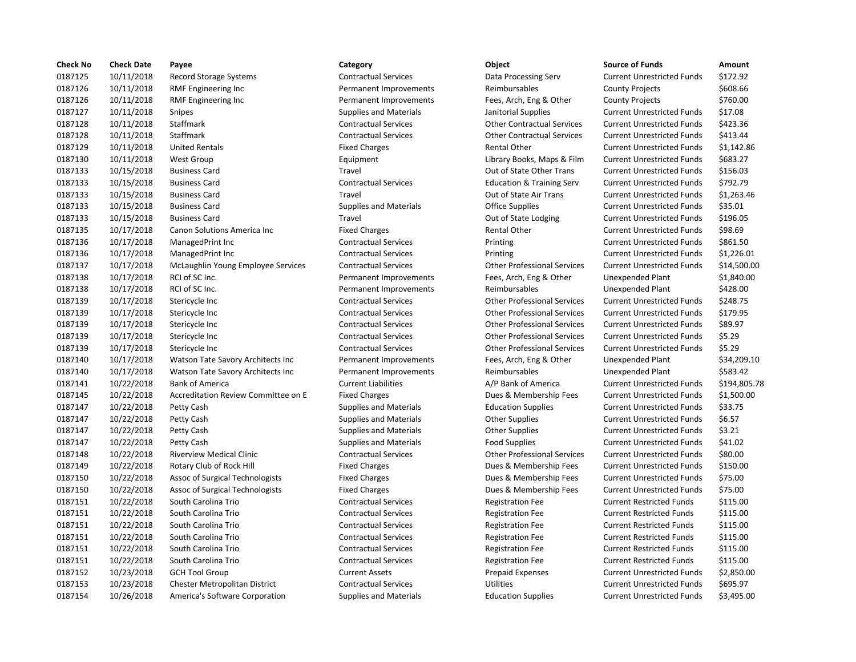| <b>Check No</b> | <b>Check Date</b> | Payee                                | Category                      | Object                               | <b>Source of Funds</b>            | Amount     |
|-----------------|-------------------|--------------------------------------|-------------------------------|--------------------------------------|-----------------------------------|------------|
| 0187125         | 10/11/2018        | Record Storage Systems               | <b>Contractual Services</b>   | Data Processing Serv                 | <b>Current Unrestricted Funds</b> | \$172.92   |
| 0187126         | 10/11/2018        | RMF Engineering Inc                  | Permanent Improvements        | Reimbursables                        | <b>County Projects</b>            | \$608.66   |
| 0187126         | 10/11/2018        | RMF Engineering Inc                  | Permanent Improvements        | Fees, Arch, Eng & Other              | <b>County Projects</b>            | \$760.00   |
| 0187127         | 10/11/2018        | Snipes                               | <b>Supplies and Materials</b> | Janitorial Supplies                  | <b>Current Unrestricted Funds</b> | \$17.08    |
| 0187128         | 10/11/2018        | Staffmark                            | <b>Contractual Services</b>   | <b>Other Contractual Services</b>    | <b>Current Unrestricted Funds</b> | \$423.36   |
| 0187128         | 10/11/2018        | Staffmark                            | <b>Contractual Services</b>   | <b>Other Contractual Services</b>    | <b>Current Unrestricted Funds</b> | \$413.44   |
| 0187129         | 10/11/2018        | <b>United Rentals</b>                | <b>Fixed Charges</b>          | <b>Rental Other</b>                  | <b>Current Unrestricted Funds</b> | \$1,142.86 |
| 0187130         | 10/11/2018        | <b>West Group</b>                    | Equipment                     | Library Books, Maps & Film           | <b>Current Unrestricted Funds</b> | \$683.27   |
| 0187133         | 10/15/2018        | <b>Business Card</b>                 | Travel                        | Out of State Other Trans             | <b>Current Unrestricted Funds</b> | \$156.03   |
| 0187133         | 10/15/2018        | <b>Business Card</b>                 | <b>Contractual Services</b>   | <b>Education &amp; Training Serv</b> | <b>Current Unrestricted Funds</b> | \$792.79   |
| 0187133         | 10/15/2018        | <b>Business Card</b>                 | Travel                        | Out of State Air Trans               | <b>Current Unrestricted Funds</b> | \$1,263.46 |
| 0187133         | 10/15/2018        | <b>Business Card</b>                 | <b>Supplies and Materials</b> | <b>Office Supplies</b>               | <b>Current Unrestricted Funds</b> | \$35.01    |
| 0187133         | 10/15/2018        | <b>Business Card</b>                 | Travel                        | Out of State Lodging                 | <b>Current Unrestricted Funds</b> | \$196.05   |
| 0187135         | 10/17/2018        | Canon Solutions America Inc          | <b>Fixed Charges</b>          | <b>Rental Other</b>                  | <b>Current Unrestricted Funds</b> | \$98.69    |
| 0187136         | 10/17/2018        | ManagedPrint Inc                     | <b>Contractual Services</b>   | Printing                             | <b>Current Unrestricted Funds</b> | \$861.50   |
| 0187136         | 10/17/2018        | ManagedPrint Inc                     | <b>Contractual Services</b>   | Printing                             | <b>Current Unrestricted Funds</b> | \$1,226.01 |
| 0187137         | 10/17/2018        | McLaughlin Young Employee Services   | <b>Contractual Services</b>   | <b>Other Professional Services</b>   | <b>Current Unrestricted Funds</b> | \$14,500.0 |
| 0187138         | 10/17/2018        | RCI of SC Inc.                       | Permanent Improvements        | Fees, Arch, Eng & Other              | Unexpended Plant                  | \$1,840.00 |
| 0187138         | 10/17/2018        | RCI of SC Inc.                       | Permanent Improvements        | Reimbursables                        | Unexpended Plant                  | \$428.00   |
| 0187139         | 10/17/2018        | Stericycle Inc                       | <b>Contractual Services</b>   | <b>Other Professional Services</b>   | <b>Current Unrestricted Funds</b> | \$248.75   |
| 0187139         | 10/17/2018        | Stericycle Inc                       | <b>Contractual Services</b>   | <b>Other Professional Services</b>   | <b>Current Unrestricted Funds</b> | \$179.95   |
| 0187139         | 10/17/2018        | Stericycle Inc                       | <b>Contractual Services</b>   | <b>Other Professional Services</b>   | <b>Current Unrestricted Funds</b> | \$89.97    |
| 0187139         | 10/17/2018        | Stericycle Inc                       | <b>Contractual Services</b>   | <b>Other Professional Services</b>   | <b>Current Unrestricted Funds</b> | \$5.29     |
| 0187139         | 10/17/2018        | Stericycle Inc                       | <b>Contractual Services</b>   | <b>Other Professional Services</b>   | <b>Current Unrestricted Funds</b> | \$5.29     |
| 0187140         | 10/17/2018        | Watson Tate Savory Architects Inc    | Permanent Improvements        | Fees, Arch, Eng & Other              | Unexpended Plant                  | \$34,209.1 |
| 0187140         | 10/17/2018        | Watson Tate Savory Architects Inc    | Permanent Improvements        | Reimbursables                        | Unexpended Plant                  | \$583.42   |
| 0187141         | 10/22/2018        | <b>Bank of America</b>               | <b>Current Liabilities</b>    | A/P Bank of America                  | <b>Current Unrestricted Funds</b> | \$194,805. |
| 0187145         | 10/22/2018        | Accreditation Review Committee on E  | <b>Fixed Charges</b>          | Dues & Membership Fees               | <b>Current Unrestricted Funds</b> | \$1,500.00 |
| 0187147         | 10/22/2018        | Petty Cash                           | Supplies and Materials        | <b>Education Supplies</b>            | <b>Current Unrestricted Funds</b> | \$33.75    |
| 0187147         | 10/22/2018        | Petty Cash                           | <b>Supplies and Materials</b> | <b>Other Supplies</b>                | <b>Current Unrestricted Funds</b> | \$6.57     |
| 0187147         | 10/22/2018        | Petty Cash                           | <b>Supplies and Materials</b> | <b>Other Supplies</b>                | <b>Current Unrestricted Funds</b> | \$3.21     |
| 0187147         | 10/22/2018        | Petty Cash                           | <b>Supplies and Materials</b> | <b>Food Supplies</b>                 | <b>Current Unrestricted Funds</b> | \$41.02    |
| 0187148         | 10/22/2018        | <b>Riverview Medical Clinic</b>      | <b>Contractual Services</b>   | <b>Other Professional Services</b>   | <b>Current Unrestricted Funds</b> | \$80.00    |
| 0187149         | 10/22/2018        | Rotary Club of Rock Hill             | <b>Fixed Charges</b>          | Dues & Membership Fees               | <b>Current Unrestricted Funds</b> | \$150.00   |
| 0187150         | 10/22/2018        | Assoc of Surgical Technologists      | <b>Fixed Charges</b>          | Dues & Membership Fees               | <b>Current Unrestricted Funds</b> | \$75.00    |
| 0187150         | 10/22/2018        | Assoc of Surgical Technologists      | <b>Fixed Charges</b>          | Dues & Membership Fees               | <b>Current Unrestricted Funds</b> | \$75.00    |
| 0187151         | 10/22/2018        | South Carolina Trio                  | <b>Contractual Services</b>   | <b>Registration Fee</b>              | <b>Current Restricted Funds</b>   | \$115.00   |
| 0187151         | 10/22/2018        | South Carolina Trio                  | <b>Contractual Services</b>   | <b>Registration Fee</b>              | <b>Current Restricted Funds</b>   | \$115.00   |
| 0187151         | 10/22/2018        | South Carolina Trio                  | <b>Contractual Services</b>   | <b>Registration Fee</b>              | <b>Current Restricted Funds</b>   | \$115.00   |
| 0187151         | 10/22/2018        | South Carolina Trio                  | <b>Contractual Services</b>   | <b>Registration Fee</b>              | <b>Current Restricted Funds</b>   | \$115.00   |
| 0187151         | 10/22/2018        | South Carolina Trio                  | <b>Contractual Services</b>   | <b>Registration Fee</b>              | <b>Current Restricted Funds</b>   | \$115.00   |
| 0187151         | 10/22/2018        | South Carolina Trio                  | <b>Contractual Services</b>   | <b>Registration Fee</b>              | <b>Current Restricted Funds</b>   | \$115.00   |
| 0187152         | 10/23/2018        | <b>GCH Tool Group</b>                | <b>Current Assets</b>         | <b>Prepaid Expenses</b>              | <b>Current Unrestricted Funds</b> | \$2,850.00 |
| 0187153         | 10/23/2018        | <b>Chester Metropolitan District</b> | <b>Contractual Services</b>   | Utilities                            | <b>Current Unrestricted Funds</b> | \$695.97   |
| 0187154         | 10/26/2018        | America's Software Corporation       | <b>Supplies and Materials</b> | <b>Education Supplies</b>            | <b>Current Unrestricted Funds</b> | \$3,495.00 |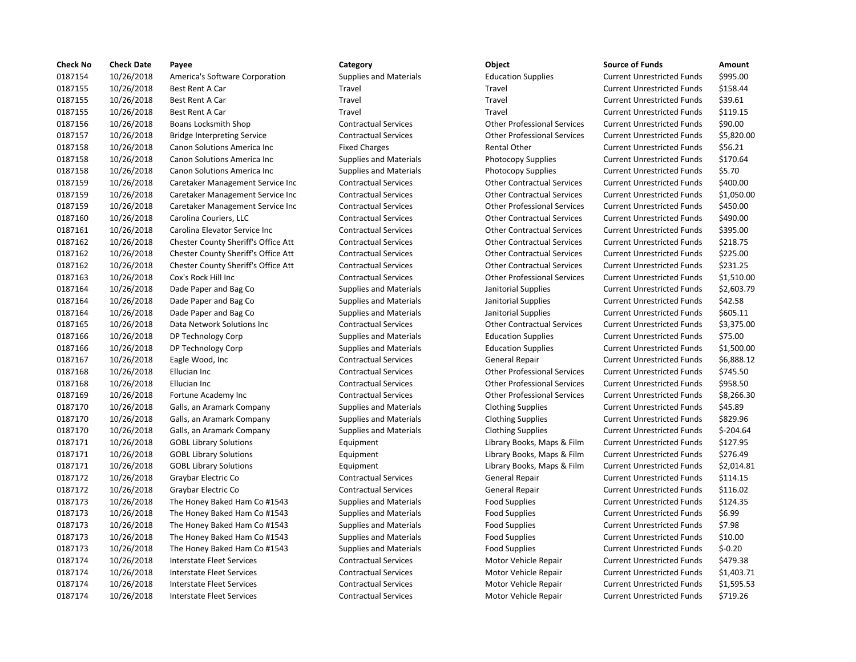| <b>Check No</b> | <b>Check Date</b> | Payee                               | Category                      | Object                             | <b>Source of Funds</b>            | Amount     |
|-----------------|-------------------|-------------------------------------|-------------------------------|------------------------------------|-----------------------------------|------------|
| 0187154         | 10/26/2018        | America's Software Corporation      | <b>Supplies and Materials</b> | <b>Education Supplies</b>          | <b>Current Unrestricted Funds</b> | \$995.00   |
| 0187155         | 10/26/2018        | Best Rent A Car                     | Travel                        | Travel                             | <b>Current Unrestricted Funds</b> | \$158.44   |
| 0187155         | 10/26/2018        | Best Rent A Car                     | Travel                        | Travel                             | <b>Current Unrestricted Funds</b> | \$39.61    |
| 0187155         | 10/26/2018        | Best Rent A Car                     | Travel                        | Travel                             | <b>Current Unrestricted Funds</b> | \$119.15   |
| 0187156         | 10/26/2018        | <b>Boans Locksmith Shop</b>         | <b>Contractual Services</b>   | <b>Other Professional Services</b> | <b>Current Unrestricted Funds</b> | \$90.00    |
| 0187157         | 10/26/2018        | <b>Bridge Interpreting Service</b>  | <b>Contractual Services</b>   | <b>Other Professional Services</b> | <b>Current Unrestricted Funds</b> | \$5,820.0  |
| 0187158         | 10/26/2018        | Canon Solutions America Inc         | <b>Fixed Charges</b>          | <b>Rental Other</b>                | <b>Current Unrestricted Funds</b> | \$56.21    |
| 0187158         | 10/26/2018        | <b>Canon Solutions America Inc.</b> | <b>Supplies and Materials</b> | <b>Photocopy Supplies</b>          | <b>Current Unrestricted Funds</b> | \$170.64   |
| 0187158         | 10/26/2018        | Canon Solutions America Inc         | <b>Supplies and Materials</b> | <b>Photocopy Supplies</b>          | <b>Current Unrestricted Funds</b> | \$5.70     |
| 0187159         | 10/26/2018        | Caretaker Management Service Inc    | <b>Contractual Services</b>   | <b>Other Contractual Services</b>  | <b>Current Unrestricted Funds</b> | \$400.00   |
| 0187159         | 10/26/2018        | Caretaker Management Service Inc    | <b>Contractual Services</b>   | <b>Other Contractual Services</b>  | <b>Current Unrestricted Funds</b> | \$1,050.0  |
| 0187159         | 10/26/2018        | Caretaker Management Service Inc    | <b>Contractual Services</b>   | <b>Other Professional Services</b> | <b>Current Unrestricted Funds</b> | \$450.00   |
| 0187160         | 10/26/2018        | Carolina Couriers, LLC              | <b>Contractual Services</b>   | <b>Other Contractual Services</b>  | <b>Current Unrestricted Funds</b> | \$490.00   |
| 0187161         | 10/26/2018        | Carolina Elevator Service Inc       | <b>Contractual Services</b>   | <b>Other Contractual Services</b>  | <b>Current Unrestricted Funds</b> | \$395.00   |
| 0187162         | 10/26/2018        | Chester County Sheriff's Office Att | <b>Contractual Services</b>   | <b>Other Contractual Services</b>  | <b>Current Unrestricted Funds</b> | \$218.75   |
| 0187162         | 10/26/2018        | Chester County Sheriff's Office Att | <b>Contractual Services</b>   | <b>Other Contractual Services</b>  | <b>Current Unrestricted Funds</b> | \$225.00   |
| 0187162         | 10/26/2018        | Chester County Sheriff's Office Att | <b>Contractual Services</b>   | <b>Other Contractual Services</b>  | <b>Current Unrestricted Funds</b> | \$231.25   |
| 0187163         | 10/26/2018        | Cox's Rock Hill Inc                 | <b>Contractual Services</b>   | <b>Other Professional Services</b> | <b>Current Unrestricted Funds</b> | \$1,510.0  |
| 0187164         | 10/26/2018        | Dade Paper and Bag Co               | <b>Supplies and Materials</b> | Janitorial Supplies                | <b>Current Unrestricted Funds</b> | \$2,603.7  |
| 0187164         | 10/26/2018        | Dade Paper and Bag Co               | Supplies and Materials        | Janitorial Supplies                | <b>Current Unrestricted Funds</b> | \$42.58    |
| 0187164         | 10/26/2018        | Dade Paper and Bag Co               | <b>Supplies and Materials</b> | Janitorial Supplies                | <b>Current Unrestricted Funds</b> | \$605.11   |
| 0187165         | 10/26/2018        | Data Network Solutions Inc          | <b>Contractual Services</b>   | <b>Other Contractual Services</b>  | <b>Current Unrestricted Funds</b> | \$3,375.0  |
| 0187166         | 10/26/2018        | DP Technology Corp                  | <b>Supplies and Materials</b> | <b>Education Supplies</b>          | <b>Current Unrestricted Funds</b> | \$75.00    |
| 0187166         | 10/26/2018        | DP Technology Corp                  | <b>Supplies and Materials</b> | <b>Education Supplies</b>          | <b>Current Unrestricted Funds</b> | \$1,500.0  |
| 0187167         | 10/26/2018        | Eagle Wood, Inc                     | <b>Contractual Services</b>   | General Repair                     | <b>Current Unrestricted Funds</b> | \$6,888.1  |
| 0187168         | 10/26/2018        | Ellucian Inc                        | <b>Contractual Services</b>   | <b>Other Professional Services</b> | <b>Current Unrestricted Funds</b> | \$745.50   |
| 0187168         | 10/26/2018        | Ellucian Inc                        | <b>Contractual Services</b>   | <b>Other Professional Services</b> | <b>Current Unrestricted Funds</b> | \$958.50   |
| 0187169         | 10/26/2018        | Fortune Academy Inc                 | <b>Contractual Services</b>   | <b>Other Professional Services</b> | <b>Current Unrestricted Funds</b> | \$8,266.3  |
| 0187170         | 10/26/2018        | Galls, an Aramark Company           | Supplies and Materials        | <b>Clothing Supplies</b>           | <b>Current Unrestricted Funds</b> | \$45.89    |
| 0187170         | 10/26/2018        | Galls, an Aramark Company           | <b>Supplies and Materials</b> | <b>Clothing Supplies</b>           | <b>Current Unrestricted Funds</b> | \$829.96   |
| 0187170         | 10/26/2018        | Galls, an Aramark Company           | <b>Supplies and Materials</b> | <b>Clothing Supplies</b>           | <b>Current Unrestricted Funds</b> | $$-204.64$ |
| 0187171         | 10/26/2018        | <b>GOBL Library Solutions</b>       | Equipment                     | Library Books, Maps & Film         | <b>Current Unrestricted Funds</b> | \$127.95   |
| 0187171         | 10/26/2018        | <b>GOBL Library Solutions</b>       | Equipment                     | Library Books, Maps & Film         | <b>Current Unrestricted Funds</b> | \$276.49   |
| 0187171         | 10/26/2018        | <b>GOBL Library Solutions</b>       | Equipment                     | Library Books, Maps & Film         | <b>Current Unrestricted Funds</b> | \$2,014.8  |
| 0187172         | 10/26/2018        | Graybar Electric Co                 | <b>Contractual Services</b>   | General Repair                     | <b>Current Unrestricted Funds</b> | \$114.15   |
| 0187172         | 10/26/2018        | Graybar Electric Co                 | <b>Contractual Services</b>   | General Repair                     | <b>Current Unrestricted Funds</b> | \$116.02   |
| 0187173         | 10/26/2018        | The Honey Baked Ham Co #1543        | Supplies and Materials        | <b>Food Supplies</b>               | <b>Current Unrestricted Funds</b> | \$124.35   |
| 0187173         | 10/26/2018        | The Honey Baked Ham Co #1543        | Supplies and Materials        | <b>Food Supplies</b>               | <b>Current Unrestricted Funds</b> | \$6.99     |
| 0187173         | 10/26/2018        | The Honey Baked Ham Co #1543        | <b>Supplies and Materials</b> | <b>Food Supplies</b>               | <b>Current Unrestricted Funds</b> | \$7.98     |
| 0187173         | 10/26/2018        | The Honey Baked Ham Co #1543        | <b>Supplies and Materials</b> | <b>Food Supplies</b>               | <b>Current Unrestricted Funds</b> | \$10.00    |
| 0187173         | 10/26/2018        | The Honey Baked Ham Co #1543        | <b>Supplies and Materials</b> | <b>Food Supplies</b>               | <b>Current Unrestricted Funds</b> | $$-0.20$   |
| 0187174         | 10/26/2018        | Interstate Fleet Services           | <b>Contractual Services</b>   | Motor Vehicle Repair               | <b>Current Unrestricted Funds</b> | \$479.38   |
| 0187174         | 10/26/2018        | Interstate Fleet Services           | <b>Contractual Services</b>   | Motor Vehicle Repair               | <b>Current Unrestricted Funds</b> | \$1,403.7  |
| 0187174         | 10/26/2018        | Interstate Fleet Services           | <b>Contractual Services</b>   | Motor Vehicle Repair               | <b>Current Unrestricted Funds</b> | \$1,595.5  |
| 0187174         | 10/26/2018        | <b>Interstate Fleet Services</b>    | <b>Contractual Services</b>   | Motor Vehicle Repair               | <b>Current Unrestricted Funds</b> | \$719.26   |
|                 |                   |                                     |                               |                                    |                                   |            |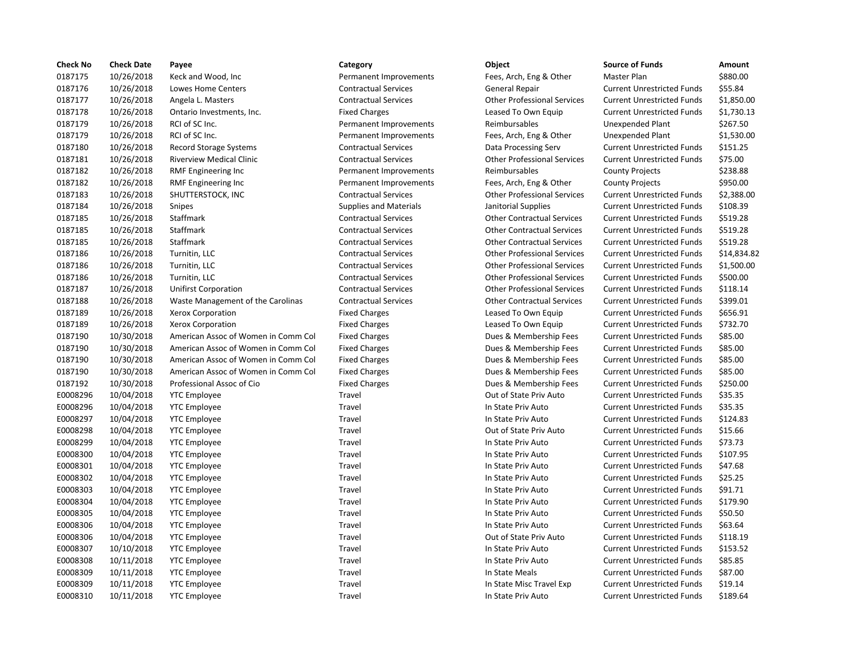| <b>Check No</b> | <b>Check Date</b> | Payee                               | Category                      | Object                             | <b>Source of Funds</b>            | Amount     |
|-----------------|-------------------|-------------------------------------|-------------------------------|------------------------------------|-----------------------------------|------------|
| 0187175         | 10/26/2018        | Keck and Wood, Inc                  | Permanent Improvements        | Fees, Arch, Eng & Other            | Master Plan                       | \$880.00   |
| 0187176         | 10/26/2018        | Lowes Home Centers                  | <b>Contractual Services</b>   | <b>General Repair</b>              | <b>Current Unrestricted Funds</b> | \$55.84    |
| 0187177         | 10/26/2018        | Angela L. Masters                   | <b>Contractual Services</b>   | <b>Other Professional Services</b> | <b>Current Unrestricted Funds</b> | \$1,850.0  |
| 0187178         | 10/26/2018        | Ontario Investments, Inc.           | <b>Fixed Charges</b>          | Leased To Own Equip                | <b>Current Unrestricted Funds</b> | \$1,730.1  |
| 0187179         | 10/26/2018        | RCI of SC Inc.                      | Permanent Improvements        | Reimbursables                      | Unexpended Plant                  | \$267.50   |
| 0187179         | 10/26/2018        | RCI of SC Inc.                      | Permanent Improvements        | Fees, Arch, Eng & Other            | <b>Unexpended Plant</b>           | \$1,530.0  |
| 0187180         | 10/26/2018        | <b>Record Storage Systems</b>       | <b>Contractual Services</b>   | Data Processing Serv               | <b>Current Unrestricted Funds</b> | \$151.25   |
| 0187181         | 10/26/2018        | <b>Riverview Medical Clinic</b>     | <b>Contractual Services</b>   | <b>Other Professional Services</b> | <b>Current Unrestricted Funds</b> | \$75.00    |
| 0187182         | 10/26/2018        | <b>RMF Engineering Inc</b>          | Permanent Improvements        | Reimbursables                      | <b>County Projects</b>            | \$238.88   |
| 0187182         | 10/26/2018        | <b>RMF Engineering Inc</b>          | Permanent Improvements        | Fees, Arch, Eng & Other            | <b>County Projects</b>            | \$950.00   |
| 0187183         | 10/26/2018        | SHUTTERSTOCK, INC                   | <b>Contractual Services</b>   | <b>Other Professional Services</b> | <b>Current Unrestricted Funds</b> | \$2,388.0  |
| 0187184         | 10/26/2018        | Snipes                              | <b>Supplies and Materials</b> | Janitorial Supplies                | <b>Current Unrestricted Funds</b> | \$108.39   |
| 0187185         | 10/26/2018        | Staffmark                           | <b>Contractual Services</b>   | <b>Other Contractual Services</b>  | <b>Current Unrestricted Funds</b> | \$519.28   |
| 0187185         | 10/26/2018        | Staffmark                           | <b>Contractual Services</b>   | <b>Other Contractual Services</b>  | <b>Current Unrestricted Funds</b> | \$519.28   |
| 0187185         | 10/26/2018        | Staffmark                           | <b>Contractual Services</b>   | <b>Other Contractual Services</b>  | <b>Current Unrestricted Funds</b> | \$519.28   |
| 0187186         | 10/26/2018        | Turnitin, LLC                       | <b>Contractual Services</b>   | <b>Other Professional Services</b> | <b>Current Unrestricted Funds</b> | \$14,834   |
| 0187186         | 10/26/2018        | Turnitin, LLC                       | <b>Contractual Services</b>   | <b>Other Professional Services</b> | <b>Current Unrestricted Funds</b> | $$1,500$ . |
| 0187186         | 10/26/2018        | Turnitin, LLC                       | <b>Contractual Services</b>   | <b>Other Professional Services</b> | <b>Current Unrestricted Funds</b> | \$500.00   |
| 0187187         | 10/26/2018        | Unifirst Corporation                | <b>Contractual Services</b>   | <b>Other Professional Services</b> | <b>Current Unrestricted Funds</b> | \$118.14   |
| 0187188         | 10/26/2018        | Waste Management of the Carolinas   | <b>Contractual Services</b>   | <b>Other Contractual Services</b>  | <b>Current Unrestricted Funds</b> | \$399.01   |
| 0187189         | 10/26/2018        | Xerox Corporation                   | <b>Fixed Charges</b>          | Leased To Own Equip                | <b>Current Unrestricted Funds</b> | \$656.91   |
| 0187189         | 10/26/2018        | Xerox Corporation                   | <b>Fixed Charges</b>          | Leased To Own Equip                | <b>Current Unrestricted Funds</b> | \$732.70   |
| 0187190         | 10/30/2018        | American Assoc of Women in Comm Col | <b>Fixed Charges</b>          | Dues & Membership Fees             | <b>Current Unrestricted Funds</b> | \$85.00    |
| 0187190         | 10/30/2018        | American Assoc of Women in Comm Col | <b>Fixed Charges</b>          | Dues & Membership Fees             | <b>Current Unrestricted Funds</b> | \$85.00    |
| 0187190         | 10/30/2018        | American Assoc of Women in Comm Col | <b>Fixed Charges</b>          | Dues & Membership Fees             | <b>Current Unrestricted Funds</b> | \$85.00    |
| 0187190         | 10/30/2018        | American Assoc of Women in Comm Col | <b>Fixed Charges</b>          | Dues & Membership Fees             | <b>Current Unrestricted Funds</b> | \$85.00    |
| 0187192         | 10/30/2018        | Professional Assoc of Cio           | <b>Fixed Charges</b>          | Dues & Membership Fees             | <b>Current Unrestricted Funds</b> | \$250.00   |
| E0008296        | 10/04/2018        | <b>YTC Employee</b>                 | Travel                        | Out of State Priv Auto             | <b>Current Unrestricted Funds</b> | \$35.35    |
| E0008296        | 10/04/2018        | <b>YTC Employee</b>                 | Travel                        | In State Priv Auto                 | <b>Current Unrestricted Funds</b> | \$35.35    |
| E0008297        | 10/04/2018        | <b>YTC Employee</b>                 | Travel                        | In State Priv Auto                 | <b>Current Unrestricted Funds</b> | \$124.83   |
| E0008298        | 10/04/2018        | <b>YTC Employee</b>                 | Travel                        | Out of State Priv Auto             | <b>Current Unrestricted Funds</b> | \$15.66    |
| E0008299        | 10/04/2018        | <b>YTC Employee</b>                 | Travel                        | In State Priv Auto                 | <b>Current Unrestricted Funds</b> | \$73.73    |
| E0008300        | 10/04/2018        | <b>YTC Employee</b>                 | Travel                        | In State Priv Auto                 | <b>Current Unrestricted Funds</b> | \$107.95   |
| E0008301        | 10/04/2018        | <b>YTC Employee</b>                 | Travel                        | In State Priv Auto                 | <b>Current Unrestricted Funds</b> | \$47.68    |
| E0008302        | 10/04/2018        | <b>YTC Employee</b>                 | Travel                        | In State Priv Auto                 | <b>Current Unrestricted Funds</b> | \$25.25    |
| E0008303        | 10/04/2018        | <b>YTC Employee</b>                 | Travel                        | In State Priv Auto                 | <b>Current Unrestricted Funds</b> | \$91.71    |
| E0008304        | 10/04/2018        | <b>YTC Employee</b>                 | Travel                        | In State Priv Auto                 | <b>Current Unrestricted Funds</b> | \$179.90   |
| E0008305        | 10/04/2018        | <b>YTC Employee</b>                 | Travel                        | In State Priv Auto                 | <b>Current Unrestricted Funds</b> | \$50.50    |
| E0008306        | 10/04/2018        | <b>YTC Employee</b>                 | Travel                        | In State Priv Auto                 | <b>Current Unrestricted Funds</b> | \$63.64    |
| E0008306        | 10/04/2018        | <b>YTC Employee</b>                 | Travel                        | Out of State Priv Auto             | <b>Current Unrestricted Funds</b> | \$118.19   |
| E0008307        | 10/10/2018        | <b>YTC Employee</b>                 | Travel                        | In State Priv Auto                 | <b>Current Unrestricted Funds</b> | \$153.52   |
| E0008308        | 10/11/2018        | <b>YTC Employee</b>                 | Travel                        | In State Priv Auto                 | <b>Current Unrestricted Funds</b> | \$85.85    |
| E0008309        | 10/11/2018        | <b>YTC Employee</b>                 | Travel                        | In State Meals                     | <b>Current Unrestricted Funds</b> | \$87.00    |
| E0008309        | 10/11/2018        | <b>YTC Employee</b>                 | Travel                        | In State Misc Travel Exp           | <b>Current Unrestricted Funds</b> | \$19.14    |
| E0008310        | 10/11/2018        | <b>YTC Employee</b>                 | Travel                        | In State Priv Auto                 | <b>Current Unrestricted Funds</b> | \$189.64   |
|                 |                   |                                     |                               |                                    |                                   |            |